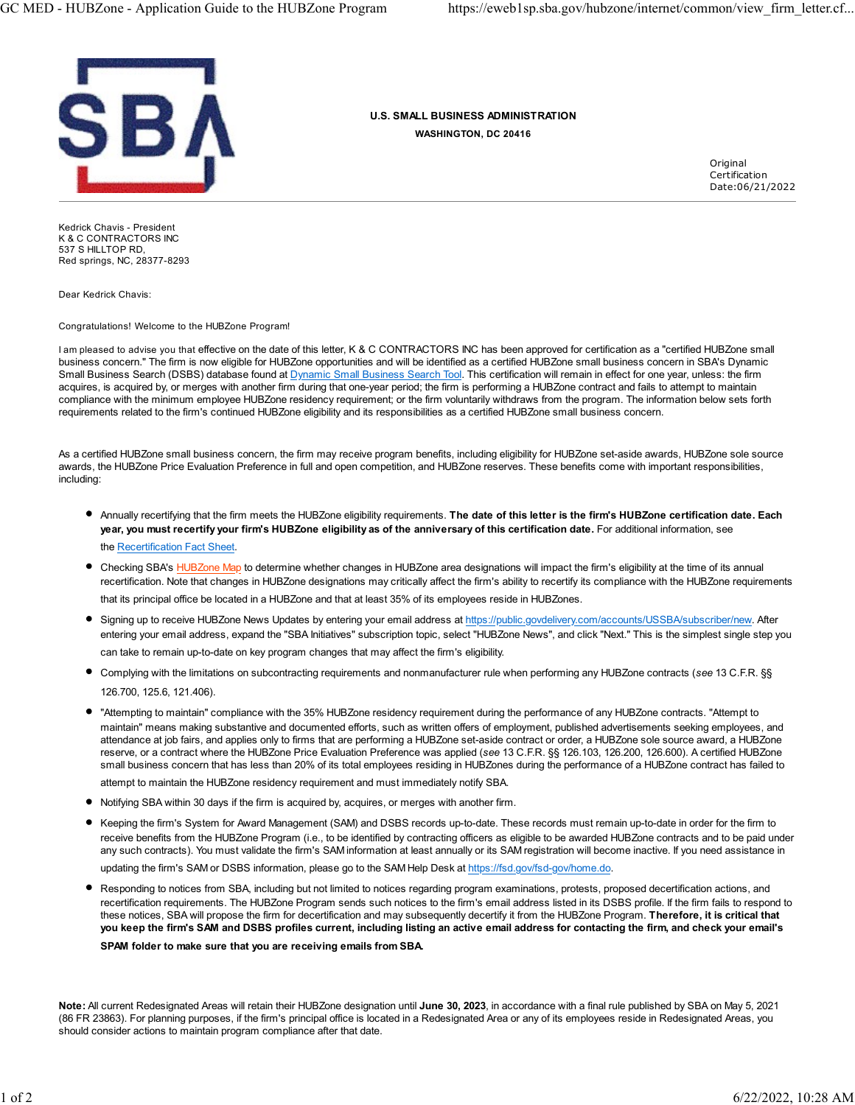

U.S. SMALL BUSINESS ADMINISTRATION WASHINGTON, DC 20416

> **Original** Certification Date:06/21/2022

Kedrick Chavis - President K & C CONTRACTORS INC 537 S HILLTOP RD, Red springs, NC, 28377-8293

Dear Kedrick Chavis:

Congratulations! Welcome to the HUBZone Program!

I am pleased to advise you that effective on the date of this letter, K & C CONTRACTORS INC has been approved for certification as a "certified HUBZone small business concern." The firm is now eligible for HUBZone opportunities and will be identified as a certified HUBZone small business concern in SBA's Dynamic Small Business Search (DSBS) database found at Dynamic Small Business Search Tool. This certification will remain in effect for one year, unless: the firm acquires, is acquired by, or merges with another firm during that one-year period; the firm is performing a HUBZone contract and fails to attempt to maintain compliance with the minimum employee HUBZone residency requirement; or the firm voluntarily withdraws from the program. The information below sets forth requirements related to the firm's continued HUBZone eligibility and its responsibilities as a certified HUBZone small business concern.

As a certified HUBZone small business concern, the firm may receive program benefits, including eligibility for HUBZone set-aside awards, HUBZone sole source awards, the HUBZone Price Evaluation Preference in full and open competition, and HUBZone reserves. These benefits come with important responsibilities, including:

- Annually recertifying that the firm meets the HUBZone eligibility requirements. The date of this letter is the firm's HUBZone certification date. Each year, you must recertify your firm's HUBZone eligibility as of the anniversary of this certification date. For additional information, see the Recertification Fact Sheet.
- Checking SBA's HUBZone Map to determine whether changes in HUBZone area designations will impact the firm's eligibility at the time of its annual recertification. Note that changes in HUBZone designations may critically affect the firm's ability to recertify its compliance with the HUBZone requirements that its principal office be located in a HUBZone and that at least 35% of its employees reside in HUBZones.
- Signing up to receive HUBZone News Updates by entering your email address at https://public.govdelivery.com/accounts/USSBA/subscriber/new. After entering your email address, expand the "SBA Initiatives" subscription topic, select "HUBZone News", and click "Next." This is the simplest single step you can take to remain up-to-date on key program changes that may affect the firm's eligibility.
- Complying with the limitations on subcontracting requirements and nonmanufacturer rule when performing any HUBZone contracts (see 13 C.F.R. §§ 126.700, 125.6, 121.406).
- "Attempting to maintain" compliance with the 35% HUBZone residency requirement during the performance of any HUBZone contracts. "Attempt to maintain" means making substantive and documented efforts, such as written offers of employment, published advertisements seeking employees, and attendance at job fairs, and applies only to firms that are performing a HUBZone set-aside contract or order, a HUBZone sole source award, a HUBZone reserve, or a contract where the HUBZone Price Evaluation Preference was applied (see 13 C.F.R. §§ 126.103, 126.200, 126.600). A certified HUBZone small business concern that has less than 20% of its total employees residing in HUBZones during the performance of a HUBZone contract has failed to
- attempt to maintain the HUBZone residency requirement and must immediately notify SBA.
- Notifying SBA within 30 days if the firm is acquired by, acquires, or merges with another firm.
- Keeping the firm's System for Award Management (SAM) and DSBS records up-to-date. These records must remain up-to-date in order for the firm to receive benefits from the HUBZone Program (i.e., to be identified by contracting officers as eligible to be awarded HUBZone contracts and to be paid under any such contracts). You must validate the firm's SAM information at least annually or its SAM registration will become inactive. If you need assistance in updating the firm's SAM or DSBS information, please go to the SAM Help Desk at https://fsd.gov/fsd-gov/home.do.

Responding to notices from SBA, including but not limited to notices regarding program examinations, protests, proposed decertification actions, and recertification requirements. The HUBZone Program sends such notices to the firm's email address listed in its DSBS profile. If the firm fails to respond to these notices, SBA will propose the firm for decertification and may subsequently decertify it from the HUBZone Program. Therefore, it is critical that you keep the firm's SAM and DSBS profiles current, including listing an active email address for contacting the firm, and check your email's

SPAM folder to make sure that you are receiving emails from SBA.

Note: All current Redesignated Areas will retain their HUBZone designation until June 30, 2023, in accordance with a final rule published by SBA on May 5, 2021 (86 FR 23863). For planning purposes, if the firm's principal office is located in a Redesignated Area or any of its employees reside in Redesignated Areas, you should consider actions to maintain program compliance after that date.